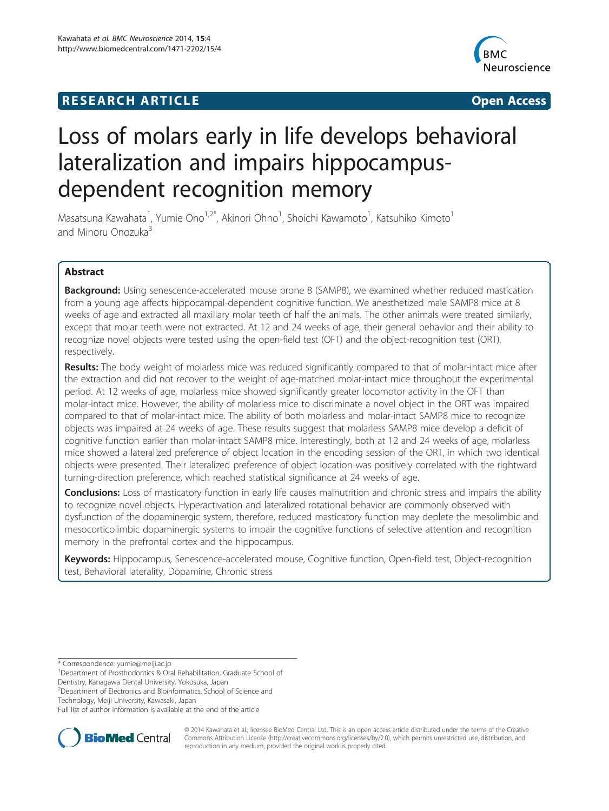# **RESEARCH ARTICLE Example 2014 12:30 THE Open Access**



# Loss of molars early in life develops behavioral lateralization and impairs hippocampusdependent recognition memory

Masatsuna Kawahata<sup>1</sup>, Yumie Ono<sup>1,2\*</sup>, Akinori Ohno<sup>1</sup>, Shoichi Kawamoto<sup>1</sup>, Katsuhiko Kimoto<sup>1</sup> and Minoru Onozuka<sup>3</sup>

# Abstract

**Background:** Using senescence-accelerated mouse prone 8 (SAMP8), we examined whether reduced mastication from a young age affects hippocampal-dependent cognitive function. We anesthetized male SAMP8 mice at 8 weeks of age and extracted all maxillary molar teeth of half the animals. The other animals were treated similarly, except that molar teeth were not extracted. At 12 and 24 weeks of age, their general behavior and their ability to recognize novel objects were tested using the open-field test (OFT) and the object-recognition test (ORT), respectively.

Results: The body weight of molarless mice was reduced significantly compared to that of molar-intact mice after the extraction and did not recover to the weight of age-matched molar-intact mice throughout the experimental period. At 12 weeks of age, molarless mice showed significantly greater locomotor activity in the OFT than molar-intact mice. However, the ability of molarless mice to discriminate a novel object in the ORT was impaired compared to that of molar-intact mice. The ability of both molarless and molar-intact SAMP8 mice to recognize objects was impaired at 24 weeks of age. These results suggest that molarless SAMP8 mice develop a deficit of cognitive function earlier than molar-intact SAMP8 mice. Interestingly, both at 12 and 24 weeks of age, molarless mice showed a lateralized preference of object location in the encoding session of the ORT, in which two identical objects were presented. Their lateralized preference of object location was positively correlated with the rightward turning-direction preference, which reached statistical significance at 24 weeks of age.

**Conclusions:** Loss of masticatory function in early life causes malnutrition and chronic stress and impairs the ability to recognize novel objects. Hyperactivation and lateralized rotational behavior are commonly observed with dysfunction of the dopaminergic system, therefore, reduced masticatory function may deplete the mesolimbic and mesocorticolimbic dopaminergic systems to impair the cognitive functions of selective attention and recognition memory in the prefrontal cortex and the hippocampus.

Keywords: Hippocampus, Senescence-accelerated mouse, Cognitive function, Open-field test, Object-recognition test, Behavioral laterality, Dopamine, Chronic stress

\* Correspondence: [yumie@meiji.ac.jp](mailto:yumie@meiji.ac.jp) <sup>1</sup>

<sup>1</sup>Department of Prosthodontics & Oral Rehabilitation, Graduate School of

Dentistry, Kanagawa Dental University, Yokosuka, Japan

<sup>2</sup> Department of Electronics and Bioinformatics, School of Science and

Technology, Meiji University, Kawasaki, Japan

Full list of author information is available at the end of the article



© 2014 Kawahata et al.; licensee BioMed Central Ltd. This is an open access article distributed under the terms of the Creative Commons Attribution License [\(http://creativecommons.org/licenses/by/2.0\)](http://creativecommons.org/licenses/by/2.0), which permits unrestricted use, distribution, and reproduction in any medium, provided the original work is properly cited.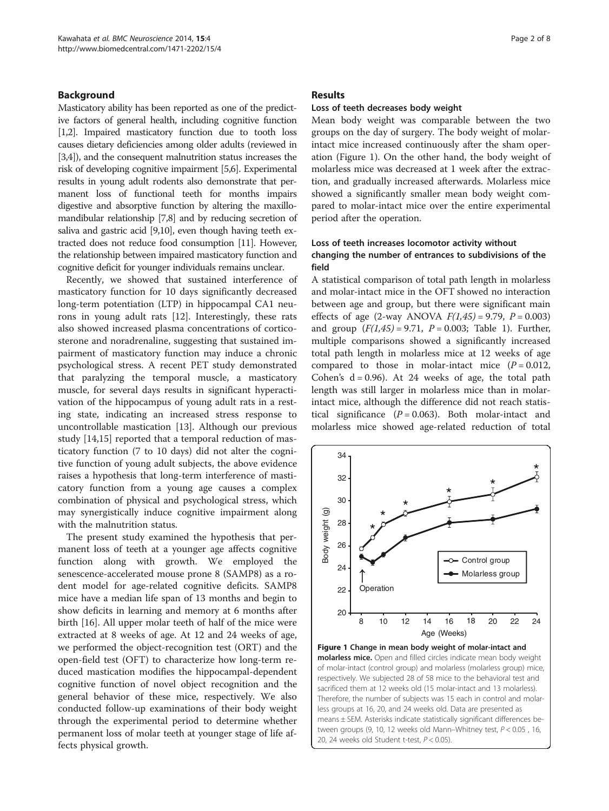#### Background

Masticatory ability has been reported as one of the predictive factors of general health, including cognitive function [[1,2](#page-6-0)]. Impaired masticatory function due to tooth loss causes dietary deficiencies among older adults (reviewed in [[3,4](#page-6-0)]), and the consequent malnutrition status increases the risk of developing cognitive impairment [\[5,6\]](#page-6-0). Experimental results in young adult rodents also demonstrate that permanent loss of functional teeth for months impairs digestive and absorptive function by altering the maxillomandibular relationship [[7,8](#page-6-0)] and by reducing secretion of saliva and gastric acid [[9,10\]](#page-6-0), even though having teeth extracted does not reduce food consumption [[11](#page-6-0)]. However, the relationship between impaired masticatory function and cognitive deficit for younger individuals remains unclear.

Recently, we showed that sustained interference of masticatory function for 10 days significantly decreased long-term potentiation (LTP) in hippocampal CA1 neurons in young adult rats [\[12](#page-6-0)]. Interestingly, these rats also showed increased plasma concentrations of corticosterone and noradrenaline, suggesting that sustained impairment of masticatory function may induce a chronic psychological stress. A recent PET study demonstrated that paralyzing the temporal muscle, a masticatory muscle, for several days results in significant hyperactivation of the hippocampus of young adult rats in a resting state, indicating an increased stress response to uncontrollable mastication [\[13\]](#page-6-0). Although our previous study [[14,15\]](#page-6-0) reported that a temporal reduction of masticatory function (7 to 10 days) did not alter the cognitive function of young adult subjects, the above evidence raises a hypothesis that long-term interference of masticatory function from a young age causes a complex combination of physical and psychological stress, which may synergistically induce cognitive impairment along with the malnutrition status.

The present study examined the hypothesis that permanent loss of teeth at a younger age affects cognitive function along with growth. We employed the senescence-accelerated mouse prone 8 (SAMP8) as a rodent model for age-related cognitive deficits. SAMP8 mice have a median life span of 13 months and begin to show deficits in learning and memory at 6 months after birth [[16](#page-6-0)]. All upper molar teeth of half of the mice were extracted at 8 weeks of age. At 12 and 24 weeks of age, we performed the object-recognition test (ORT) and the open-field test (OFT) to characterize how long-term reduced mastication modifies the hippocampal-dependent cognitive function of novel object recognition and the general behavior of these mice, respectively. We also conducted follow-up examinations of their body weight through the experimental period to determine whether permanent loss of molar teeth at younger stage of life affects physical growth.

#### Results

#### Loss of teeth decreases body weight

Mean body weight was comparable between the two groups on the day of surgery. The body weight of molarintact mice increased continuously after the sham operation (Figure 1). On the other hand, the body weight of molarless mice was decreased at 1 week after the extraction, and gradually increased afterwards. Molarless mice showed a significantly smaller mean body weight compared to molar-intact mice over the entire experimental period after the operation.

### Loss of teeth increases locomotor activity without changing the number of entrances to subdivisions of the field

A statistical comparison of total path length in molarless and molar-intact mice in the OFT showed no interaction between age and group, but there were significant main effects of age (2-way ANOVA  $F(1,45) = 9.79$ ,  $P = 0.003$ ) and group  $(F(1,45) = 9.71, P = 0.003;$  Table [1\)](#page-2-0). Further, multiple comparisons showed a significantly increased total path length in molarless mice at 12 weeks of age compared to those in molar-intact mice  $(P = 0.012)$ , Cohen's  $d = 0.96$ ). At 24 weeks of age, the total path length was still larger in molarless mice than in molarintact mice, although the difference did not reach statistical significance  $(P = 0.063)$ . Both molar-intact and molarless mice showed age-related reduction of total



Figure 1 Change in mean body weight of molar-intact and **molarless mice.** Open and filled circles indicate mean body weight of molar-intact (control group) and molarless (molarless group) mice, respectively. We subjected 28 of 58 mice to the behavioral test and sacrificed them at 12 weeks old (15 molar-intact and 13 molarless). Therefore, the number of subjects was 15 each in control and molarless groups at 16, 20, and 24 weeks old. Data are presented as means ± SEM. Asterisks indicate statistically significant differences between groups (9, 10, 12 weeks old Mann–Whitney test, P < 0.05 , 16, 20, 24 weeks old Student t-test,  $P < 0.05$ ).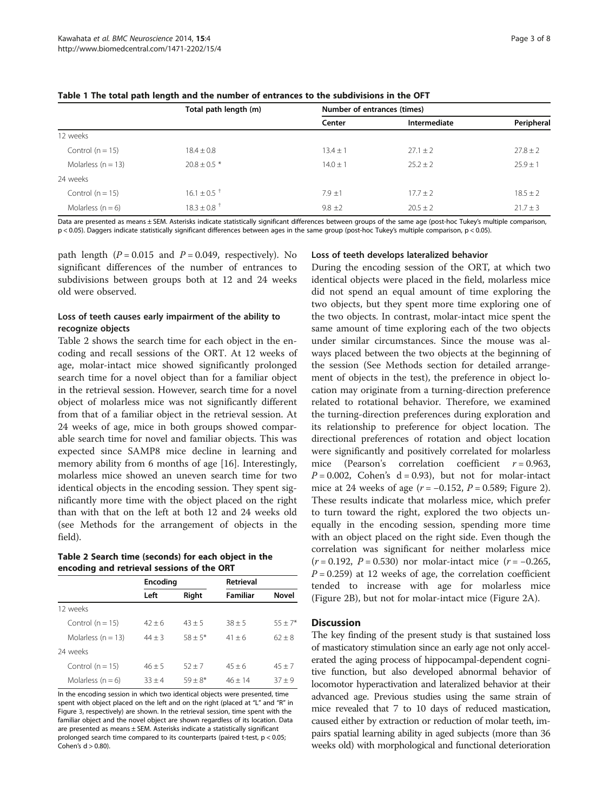|                      | Total path length (m)       | Number of entrances (times) |              |              |
|----------------------|-----------------------------|-----------------------------|--------------|--------------|
|                      |                             | Center                      | Intermediate | Peripheral   |
| 12 weeks             |                             |                             |              |              |
| Control ( $n = 15$ ) | $18.4 \pm 0.8$              | $13.4 \pm 1$                | $27.1 + 2$   | $27.8 \pm 2$ |
| Molarless $(n = 13)$ | $20.8 + 0.5*$               | $14.0 \pm 1$                | $25.2 + 2$   | $25.9 + 1$   |
| 24 weeks             |                             |                             |              |              |
| Control ( $n = 15$ ) | $16.1 \pm 0.5$ <sup>+</sup> | $7.9 + 1$                   | $17.7 + 2$   | $18.5 \pm 2$ |
| Molarless $(n = 6)$  | $18.3 \pm 0.8$ <sup>+</sup> | $9.8 \pm 2$                 | $20.5 + 2$   | $21.7 \pm 3$ |

<span id="page-2-0"></span>Table 1 The total path length and the number of entrances to the subdivisions in the OFT

Data are presented as means ± SEM. Asterisks indicate statistically significant differences between groups of the same age (post-hoc Tukey's multiple comparison, p < 0.05). Daggers indicate statistically significant differences between ages in the same group (post-hoc Tukey's multiple comparison, p < 0.05).

path length ( $P = 0.015$  and  $P = 0.049$ , respectively). No significant differences of the number of entrances to subdivisions between groups both at 12 and 24 weeks old were observed.

# Loss of teeth causes early impairment of the ability to recognize objects

Table 2 shows the search time for each object in the encoding and recall sessions of the ORT. At 12 weeks of age, molar-intact mice showed significantly prolonged search time for a novel object than for a familiar object in the retrieval session. However, search time for a novel object of molarless mice was not significantly different from that of a familiar object in the retrieval session. At 24 weeks of age, mice in both groups showed comparable search time for novel and familiar objects. This was expected since SAMP8 mice decline in learning and memory ability from 6 months of age [[16\]](#page-6-0). Interestingly, molarless mice showed an uneven search time for two identical objects in the encoding session. They spent significantly more time with the object placed on the right than with that on the left at both 12 and 24 weeks old (see [Methods](#page-4-0) for the arrangement of objects in the field).

Table 2 Search time (seconds) for each object in the encoding and retrieval sessions of the ORT

|                      | Encoding |           | <b>Retrieval</b> |              |
|----------------------|----------|-----------|------------------|--------------|
|                      | Left     | Right     | Familiar         | <b>Novel</b> |
| 12 weeks             |          |           |                  |              |
| Control ( $n = 15$ ) | $42 + 6$ | $43 + 5$  | $38 + 5$         | $55 + 7*$    |
| Molarless $(n = 13)$ | $44 + 3$ | $58 + 5*$ | $41 + 6$         | $62 + 8$     |
| 24 weeks             |          |           |                  |              |
| Control ( $n = 15$ ) | $46 + 5$ | $52 + 7$  | $45 + 6$         | $45 + 7$     |
| Molarless $(n = 6)$  | $33 + 4$ | $59 + 8*$ | $46 + 14$        | $37 + 9$     |

In the encoding session in which two identical objects were presented, time spent with object placed on the left and on the right (placed at "L" and "R" in Figure [3,](#page-5-0) respectively) are shown. In the retrieval session, time spent with the familiar object and the novel object are shown regardless of its location. Data are presented as means ± SEM. Asterisks indicate a statistically significant prolonged search time compared to its counterparts (paired t-test, p < 0.05; Cohen's  $d > 0.80$ ).

#### Loss of teeth develops lateralized behavior

During the encoding session of the ORT, at which two identical objects were placed in the field, molarless mice did not spend an equal amount of time exploring the two objects, but they spent more time exploring one of the two objects. In contrast, molar-intact mice spent the same amount of time exploring each of the two objects under similar circumstances. Since the mouse was always placed between the two objects at the beginning of the session (See [Methods](#page-4-0) section for detailed arrangement of objects in the test), the preference in object location may originate from a turning-direction preference related to rotational behavior. Therefore, we examined the turning-direction preferences during exploration and its relationship to preference for object location. The directional preferences of rotation and object location were significantly and positively correlated for molarless mice (Pearson's correlation coefficient  $r = 0.963$ ,  $P = 0.002$ , Cohen's d = 0.93), but not for molar-intact mice at [2](#page-3-0)4 weeks of age ( $r = -0.152$ ,  $P = 0.589$ ; Figure 2). These results indicate that molarless mice, which prefer to turn toward the right, explored the two objects unequally in the encoding session, spending more time with an object placed on the right side. Even though the correlation was significant for neither molarless mice  $(r = 0.192, P = 0.530)$  nor molar-intact mice  $(r = -0.265, P)$  $P = 0.259$ ) at 12 weeks of age, the correlation coefficient tended to increase with age for molarless mice (Figure [2B](#page-3-0)), but not for molar-intact mice (Figure [2A](#page-3-0)).

#### **Discussion**

The key finding of the present study is that sustained loss of masticatory stimulation since an early age not only accelerated the aging process of hippocampal-dependent cognitive function, but also developed abnormal behavior of locomotor hyperactivation and lateralized behavior at their advanced age. Previous studies using the same strain of mice revealed that 7 to 10 days of reduced mastication, caused either by extraction or reduction of molar teeth, impairs spatial learning ability in aged subjects (more than 36 weeks old) with morphological and functional deterioration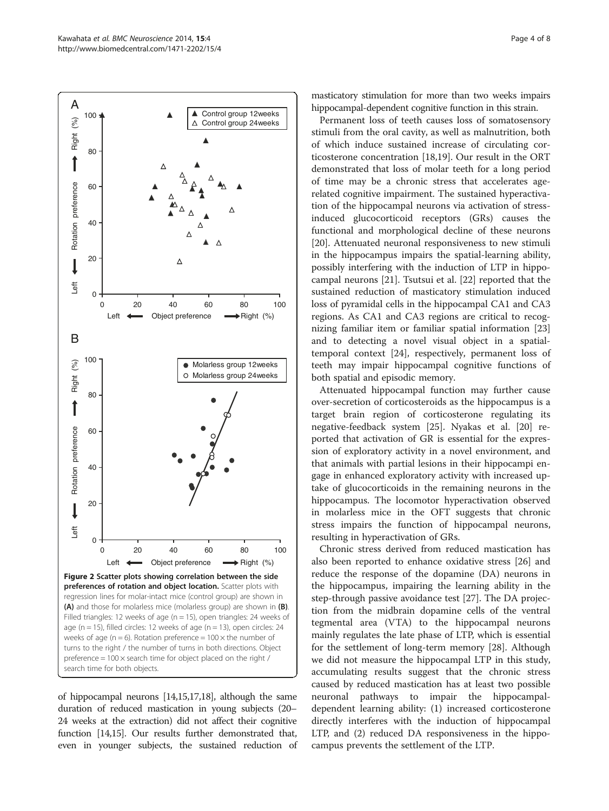<span id="page-3-0"></span>

of hippocampal neurons [\[14,15,17,18](#page-6-0)], although the same duration of reduced mastication in young subjects (20– 24 weeks at the extraction) did not affect their cognitive function [[14,15\]](#page-6-0). Our results further demonstrated that, even in younger subjects, the sustained reduction of

masticatory stimulation for more than two weeks impairs hippocampal-dependent cognitive function in this strain.

Permanent loss of teeth causes loss of somatosensory stimuli from the oral cavity, as well as malnutrition, both of which induce sustained increase of circulating corticosterone concentration [[18,19\]](#page-6-0). Our result in the ORT demonstrated that loss of molar teeth for a long period of time may be a chronic stress that accelerates agerelated cognitive impairment. The sustained hyperactivation of the hippocampal neurons via activation of stressinduced glucocorticoid receptors (GRs) causes the functional and morphological decline of these neurons [[20\]](#page-7-0). Attenuated neuronal responsiveness to new stimuli in the hippocampus impairs the spatial-learning ability, possibly interfering with the induction of LTP in hippocampal neurons [\[21\]](#page-7-0). Tsutsui et al. [[22\]](#page-7-0) reported that the sustained reduction of masticatory stimulation induced loss of pyramidal cells in the hippocampal CA1 and CA3 regions. As CA1 and CA3 regions are critical to recognizing familiar item or familiar spatial information [[23](#page-7-0)] and to detecting a novel visual object in a spatialtemporal context [\[24](#page-7-0)], respectively, permanent loss of teeth may impair hippocampal cognitive functions of both spatial and episodic memory.

Attenuated hippocampal function may further cause over-secretion of corticosteroids as the hippocampus is a target brain region of corticosterone regulating its negative-feedback system [\[25](#page-7-0)]. Nyakas et al. [\[20\]](#page-7-0) reported that activation of GR is essential for the expression of exploratory activity in a novel environment, and that animals with partial lesions in their hippocampi engage in enhanced exploratory activity with increased uptake of glucocorticoids in the remaining neurons in the hippocampus. The locomotor hyperactivation observed in molarless mice in the OFT suggests that chronic stress impairs the function of hippocampal neurons, resulting in hyperactivation of GRs.

Chronic stress derived from reduced mastication has also been reported to enhance oxidative stress [[26](#page-7-0)] and reduce the response of the dopamine (DA) neurons in the hippocampus, impairing the learning ability in the step-through passive avoidance test [[27\]](#page-7-0). The DA projection from the midbrain dopamine cells of the ventral tegmental area (VTA) to the hippocampal neurons mainly regulates the late phase of LTP, which is essential for the settlement of long-term memory [\[28\]](#page-7-0). Although we did not measure the hippocampal LTP in this study, accumulating results suggest that the chronic stress caused by reduced mastication has at least two possible neuronal pathways to impair the hippocampaldependent learning ability: (1) increased corticosterone directly interferes with the induction of hippocampal LTP, and (2) reduced DA responsiveness in the hippocampus prevents the settlement of the LTP.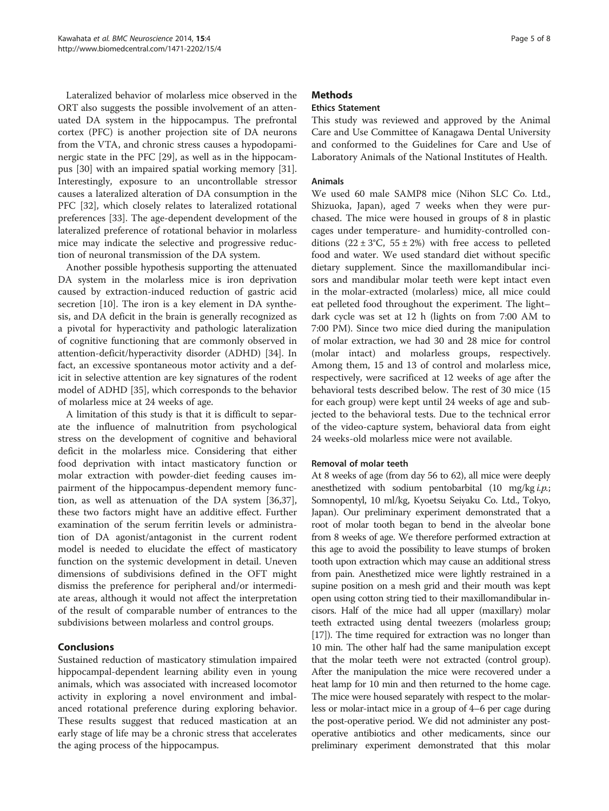<span id="page-4-0"></span>Lateralized behavior of molarless mice observed in the ORT also suggests the possible involvement of an attenuated DA system in the hippocampus. The prefrontal cortex (PFC) is another projection site of DA neurons from the VTA, and chronic stress causes a hypodopaminergic state in the PFC [\[29](#page-7-0)], as well as in the hippocampus [[30](#page-7-0)] with an impaired spatial working memory [\[31](#page-7-0)]. Interestingly, exposure to an uncontrollable stressor causes a lateralized alteration of DA consumption in the PFC [[32](#page-7-0)], which closely relates to lateralized rotational preferences [[33\]](#page-7-0). The age-dependent development of the lateralized preference of rotational behavior in molarless mice may indicate the selective and progressive reduction of neuronal transmission of the DA system.

Another possible hypothesis supporting the attenuated DA system in the molarless mice is iron deprivation caused by extraction-induced reduction of gastric acid secretion [[10](#page-6-0)]. The iron is a key element in DA synthesis, and DA deficit in the brain is generally recognized as a pivotal for hyperactivity and pathologic lateralization of cognitive functioning that are commonly observed in attention-deficit/hyperactivity disorder (ADHD) [[34](#page-7-0)]. In fact, an excessive spontaneous motor activity and a deficit in selective attention are key signatures of the rodent model of ADHD [[35\]](#page-7-0), which corresponds to the behavior of molarless mice at 24 weeks of age.

A limitation of this study is that it is difficult to separate the influence of malnutrition from psychological stress on the development of cognitive and behavioral deficit in the molarless mice. Considering that either food deprivation with intact masticatory function or molar extraction with powder-diet feeding causes impairment of the hippocampus-dependent memory function, as well as attenuation of the DA system [\[36,37](#page-7-0)], these two factors might have an additive effect. Further examination of the serum ferritin levels or administration of DA agonist/antagonist in the current rodent model is needed to elucidate the effect of masticatory function on the systemic development in detail. Uneven dimensions of subdivisions defined in the OFT might dismiss the preference for peripheral and/or intermediate areas, although it would not affect the interpretation of the result of comparable number of entrances to the subdivisions between molarless and control groups.

### Conclusions

Sustained reduction of masticatory stimulation impaired hippocampal-dependent learning ability even in young animals, which was associated with increased locomotor activity in exploring a novel environment and imbalanced rotational preference during exploring behavior. These results suggest that reduced mastication at an early stage of life may be a chronic stress that accelerates the aging process of the hippocampus.

### **Methods**

# Ethics Statement

This study was reviewed and approved by the Animal Care and Use Committee of Kanagawa Dental University and conformed to the Guidelines for Care and Use of Laboratory Animals of the National Institutes of Health.

#### Animals

We used 60 male SAMP8 mice (Nihon SLC Co. Ltd., Shizuoka, Japan), aged 7 weeks when they were purchased. The mice were housed in groups of 8 in plastic cages under temperature- and humidity-controlled conditions  $(22 \pm 3^{\circ}C, 55 \pm 2\%)$  with free access to pelleted food and water. We used standard diet without specific dietary supplement. Since the maxillomandibular incisors and mandibular molar teeth were kept intact even in the molar-extracted (molarless) mice, all mice could eat pelleted food throughout the experiment. The light– dark cycle was set at 12 h (lights on from 7:00 AM to 7:00 PM). Since two mice died during the manipulation of molar extraction, we had 30 and 28 mice for control (molar intact) and molarless groups, respectively. Among them, 15 and 13 of control and molarless mice, respectively, were sacrificed at 12 weeks of age after the behavioral tests described below. The rest of 30 mice (15 for each group) were kept until 24 weeks of age and subjected to the behavioral tests. Due to the technical error of the video-capture system, behavioral data from eight 24 weeks-old molarless mice were not available.

#### Removal of molar teeth

At 8 weeks of age (from day 56 to 62), all mice were deeply anesthetized with sodium pentobarbital  $(10 \text{ mg/kg} i.p.;$ Somnopentyl, 10 ml/kg, Kyoetsu Seiyaku Co. Ltd., Tokyo, Japan). Our preliminary experiment demonstrated that a root of molar tooth began to bend in the alveolar bone from 8 weeks of age. We therefore performed extraction at this age to avoid the possibility to leave stumps of broken tooth upon extraction which may cause an additional stress from pain. Anesthetized mice were lightly restrained in a supine position on a mesh grid and their mouth was kept open using cotton string tied to their maxillomandibular incisors. Half of the mice had all upper (maxillary) molar teeth extracted using dental tweezers (molarless group; [[17](#page-6-0)]). The time required for extraction was no longer than 10 min. The other half had the same manipulation except that the molar teeth were not extracted (control group). After the manipulation the mice were recovered under a heat lamp for 10 min and then returned to the home cage. The mice were housed separately with respect to the molarless or molar-intact mice in a group of 4–6 per cage during the post-operative period. We did not administer any postoperative antibiotics and other medicaments, since our preliminary experiment demonstrated that this molar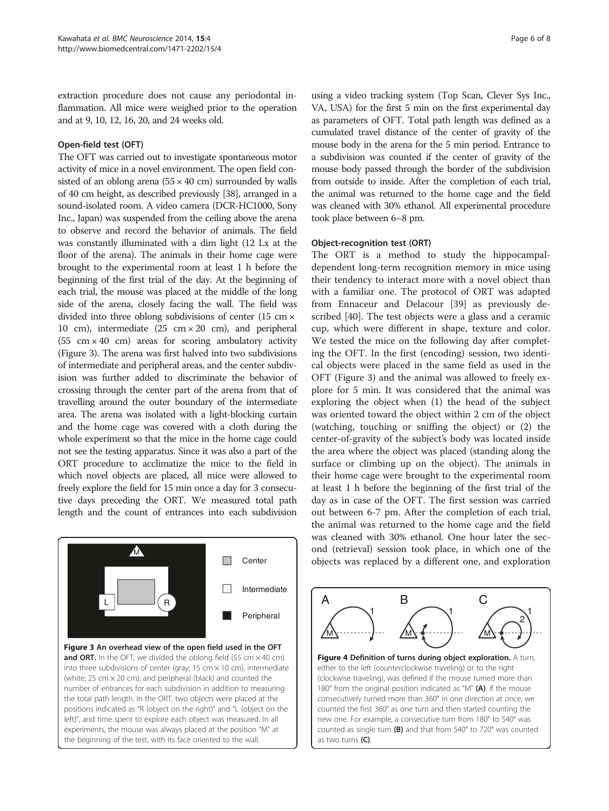<span id="page-5-0"></span>extraction procedure does not cause any periodontal inflammation. All mice were weighed prior to the operation and at 9, 10, 12, 16, 20, and 24 weeks old.

### Open-field test (OFT)

The OFT was carried out to investigate spontaneous motor activity of mice in a novel environment. The open field consisted of an oblong arena  $(55 \times 40 \text{ cm})$  surrounded by walls of 40 cm height, as described previously [[38](#page-7-0)], arranged in a sound-isolated room. A video camera (DCR-HC1000, Sony Inc., Japan) was suspended from the ceiling above the arena to observe and record the behavior of animals. The field was constantly illuminated with a dim light (12 Lx at the floor of the arena). The animals in their home cage were brought to the experimental room at least 1 h before the beginning of the first trial of the day. At the beginning of each trial, the mouse was placed at the middle of the long side of the arena, closely facing the wall. The field was divided into three oblong subdivisions of center (15 cm × 10 cm), intermediate (25 cm × 20 cm), and peripheral  $(55 \text{ cm} \times 40 \text{ cm})$  areas for scoring ambulatory activity (Figure 3). The arena was first halved into two subdivisions of intermediate and peripheral areas, and the center subdivision was further added to discriminate the behavior of crossing through the center part of the arena from that of travelling around the outer boundary of the intermediate area. The arena was isolated with a light-blocking curtain and the home cage was covered with a cloth during the whole experiment so that the mice in the home cage could not see the testing apparatus. Since it was also a part of the ORT procedure to acclimatize the mice to the field in which novel objects are placed, all mice were allowed to freely explore the field for 15 min once a day for 3 consecutive days preceding the ORT. We measured total path length and the count of entrances into each subdivision



using a video tracking system (Top Scan, Clever Sys Inc., VA, USA) for the first 5 min on the first experimental day as parameters of OFT. Total path length was defined as a cumulated travel distance of the center of gravity of the mouse body in the arena for the 5 min period. Entrance to a subdivision was counted if the center of gravity of the mouse body passed through the border of the subdivision from outside to inside. After the completion of each trial, the animal was returned to the home cage and the field was cleaned with 30% ethanol. All experimental procedure took place between 6–8 pm.

### Object-recognition test (ORT)

The ORT is a method to study the hippocampaldependent long-term recognition memory in mice using their tendency to interact more with a novel object than with a familiar one. The protocol of ORT was adapted from Ennaceur and Delacour [[39](#page-7-0)] as previously described [\[40](#page-7-0)]. The test objects were a glass and a ceramic cup, which were different in shape, texture and color. We tested the mice on the following day after completing the OFT. In the first (encoding) session, two identical objects were placed in the same field as used in the OFT (Figure 3) and the animal was allowed to freely explore for 5 min. It was considered that the animal was exploring the object when (1) the head of the subject was oriented toward the object within 2 cm of the object (watching, touching or sniffing the object) or (2) the center-of-gravity of the subject's body was located inside the area where the object was placed (standing along the surface or climbing up on the object). The animals in their home cage were brought to the experimental room at least 1 h before the beginning of the first trial of the day as in case of the OFT. The first session was carried out between 6-7 pm. After the completion of each trial, the animal was returned to the home cage and the field was cleaned with 30% ethanol. One hour later the second (retrieval) session took place, in which one of the Center **objects** was replaced by a different one, and exploration



Figure 4 Definition of turns during object exploration. A turn, either to the left (counterclockwise traveling) or to the right (clockwise traveling), was defined if the mouse turned more than 180° from the original position indicated as "M" (A). If the mouse consecutively turned more than 360° in one direction at once, we counted the first 360° as one turn and then started counting the new one. For example, a consecutive turn from 180° to 540° was counted as single turn (B) and that from 540° to 720° was counted as two turns (C).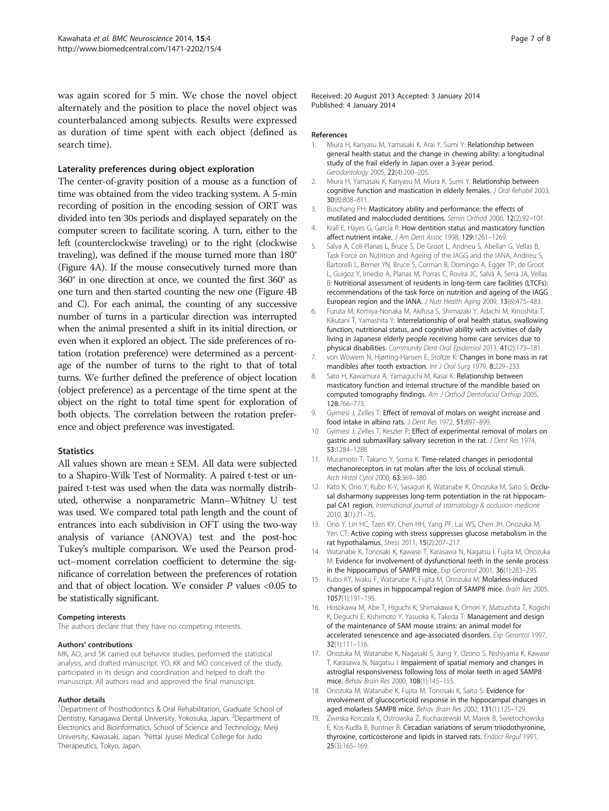<span id="page-6-0"></span>was again scored for 5 min. We chose the novel object alternately and the position to place the novel object was counterbalanced among subjects. Results were expressed as duration of time spent with each object (defined as search time).

#### Laterality preferences during object exploration

The center-of-gravity position of a mouse as a function of time was obtained from the video tracking system. A 5-min recording of position in the encoding session of ORT was divided into ten 30s periods and displayed separately on the computer screen to facilitate scoring. A turn, either to the left (counterclockwise traveling) or to the right (clockwise traveling), was defined if the mouse turned more than 180° (Figure [4A](#page-5-0)). If the mouse consecutively turned more than 360° in one direction at once, we counted the first 360° as one turn and then started counting the new one (Figure [4B](#page-5-0) and C). For each animal, the counting of any successive number of turns in a particular direction was interrupted when the animal presented a shift in its initial direction, or even when it explored an object. The side preferences of rotation (rotation preference) were determined as a percentage of the number of turns to the right to that of total turns. We further defined the preference of object location (object preference) as a percentage of the time spent at the object on the right to total time spent for exploration of both objects. The correlation between the rotation preference and object preference was investigated.

#### **Statistics**

All values shown are mean ± SEM. All data were subjected to a Shapiro-Wilk Test of Normality. A paired t-test or unpaired t-test was used when the data was normally distributed, otherwise a nonparametric Mann–Whitney U test was used. We compared total path length and the count of entrances into each subdivision in OFT using the two-way analysis of variance (ANOVA) test and the post-hoc Tukey's multiple comparison. We used the Pearson product–moment correlation coefficient to determine the significance of correlation between the preferences of rotation and that of object location. We consider  $P$  values <0.05 to be statistically significant.

#### Competing interests

The authors declare that they have no competing interests.

#### Authors' contributions

MK, AO, and SK carried out behavior studies, performed the statistical analysis, and drafted manuscript. YO, KK and MO conceived of the study, participated in its design and coordination and helped to draft the manuscript. All authors read and approved the final manuscript.

#### Author details

<sup>1</sup>Department of Prosthodontics & Oral Rehabilitation, Graduate School of Dentistry, Kanagawa Dental University, Yokosuka, Japan. <sup>2</sup>Department of Electronics and Bioinformatics, School of Science and Technology, Meiji University, Kawasaki, Japan. <sup>3</sup>Nittai Jyusei Medical College for Judo Therapeutics, Tokyo, Japan.

Received: 20 August 2013 Accepted: 3 January 2014 Published: 4 January 2014

#### References

- 1. Miura H, Kariyasu M, Yamasaki K, Arai Y, Sumi Y: Relationship between general health status and the change in chewing ability: a longitudinal study of the frail elderly in Japan over a 3-year period. Gerodontology 2005, 22(4):200–205.
- 2. Miura H, Yamasaki K, Kariyasu M, Miura K, Sumi Y: Relationship between cognitive function and mastication in elderly females. J Oral Rehabil 2003, 30(8):808–811.
- 3. Buschang PH: Masticatory ability and performance: the effects of mutilated and maloccluded dentitions. Semin Orthod 2006, 12(2):92–101.
- 4. Krall E, Hayes G, Garcia R: How dentition status and masticatory function affect nutrient intake. J Am Dent Assoc 1998, 129:1261–1269.
- 5. Salva A, Coll-Planas L, Bruce S, De Groot L, Andrieu S, Abellan G, Vellas B, Task Force on Nutrition and Ageing of the IAGG and the IANA, Andrieu S, Bartorelli L, Berner YN, Bruce S, Corman B, Domingo A, Egger TP, de Groot L, Guigoz Y, Imedio A, Planas M, Porras C, Rovira JC, Salvà A, Serra JA, Vellas B: Nutritional assessment of residents in long-term care facilities (LTCFs): recommendations of the task force on nutrition and ageing of the IAGG European region and the IANA. J Nutr Health Aging 2009, 13(6):475–483.
- 6. Furuta M, Komiya-Nonaka M, Akifusa S, Shimazaki Y, Adachi M, Kinoshita T, Kikutani T, Yamashita Y: Interrelationship of oral health status, swallowing function, nutritional status, and cognitive ability with activities of daily living in Japanese elderly people receiving home care services due to physical disabilities. Community Dent Oral Epidemiol 2013, 41(2):173–181.
- 7. von Wowern N, Hjørting-Hansen E, Stoltze K: Changes in bone mass in rat mandibles after tooth extraction. Int J Oral Surg 1979, 8:229-233.
- 8. Sato H, Kawamura A, Yamaguchi M, Kasai K: Relationship between masticatory function and internal structure of the mandible based on computed tomography findings. Am J Orthod Dentofacial Orthop 2005, 128:766–773.
- 9. Gyimesi J, Zelles T: Effect of removal of molars on weight increase and food intake in albino rats. J Dent Res 1972, 51:897–899.
- 10. Gyimesi J, Zelles T, Keszler P: Effect of experimental removal of molars on gastric and submaxillary salivary secretion in the rat. J Dent Res 1974, 53:1284–1288.
- 11. Muramoto T, Takano Y, Soma K: Time-related changes in periodontal mechanoreceptors in rat molars after the loss of occlusal stimuli. Arch Histol Cytol 2000, 63:369–380.
- 12. Kato K, Ono Y, Kubo K-Y, Sasaguri K, Watanabe K, Onozuka M, Sato S: Occlusal disharmony suppresses long-term potentiation in the rat hippocampal CA1 region. International journal of stomatology & occlusion medicine 2010, 3(1):71–75.
- 13. Ono Y, Lin HC, Tzen KY, Chen HH, Yang PF, Lai WS, Chen JH, Onozuka M, Yen CT: Active coping with stress suppresses glucose metabolism in the rat hypothalamus. Stress 2011, 15(2):207–217.
- 14. Watanabe K, Tonosaki K, Kawase T, Karasawa N, Nagatsu I, Fujita M, Onozuka M: Evidence for involvement of dysfunctional teeth in the senile process in the hippocampus of SAMP8 mice. Exp Gerontol 2001, 36(1):283-295.
- 15. Kubo KY, Iwaku F, Watanabe K, Fujita M, Onozuka M: Molarless-induced changes of spines in hippocampal region of SAMP8 mice. Brain Res 2005, 1057(1):191–195.
- 16. Hosokawa M, Abe T, Higuchi K, Shimakawa K, Omori Y, Matsushita T, Kogishi K, Deguchi E, Kishimoto Y, Yasuoka K, Takeda T: Management and design of the maintenance of SAM mouse strains: an animal model for accelerated senescence and age-associated disorders. Exp Gerontol 1997, 32(1):111–116.
- 17. Onozuka M, Watanabe K, Nagasaki S, Jiang Y, Ozono S, Nishiyama K, Kawase T, Karasawa N, Nagatsu I: Impairment of spatial memory and changes in astroglial responsiveness following loss of molar teeth in aged SAMP8 mice. Behav Brain Res 2000, 108(1):145–155.
- 18. Onozuka M, Watanabe K, Fujita M, Tonosaki K, Saito S: Evidence for involvement of glucocorticoid response in the hippocampal changes in aged molarless SAMP8 mice. Behav Brain Res 2002, 131(1):125–129.
- 19. Zwirska-Korczala K, Ostrowska Z, Kucharzewski M, Marek B, Swietochowska E, Kos-Kudła B, Buntner B: Circadian variations of serum triiodothyronine, thyroxine, corticosterone and lipids in starved rats. Endocr Regul 1991, 25(3):165–169.